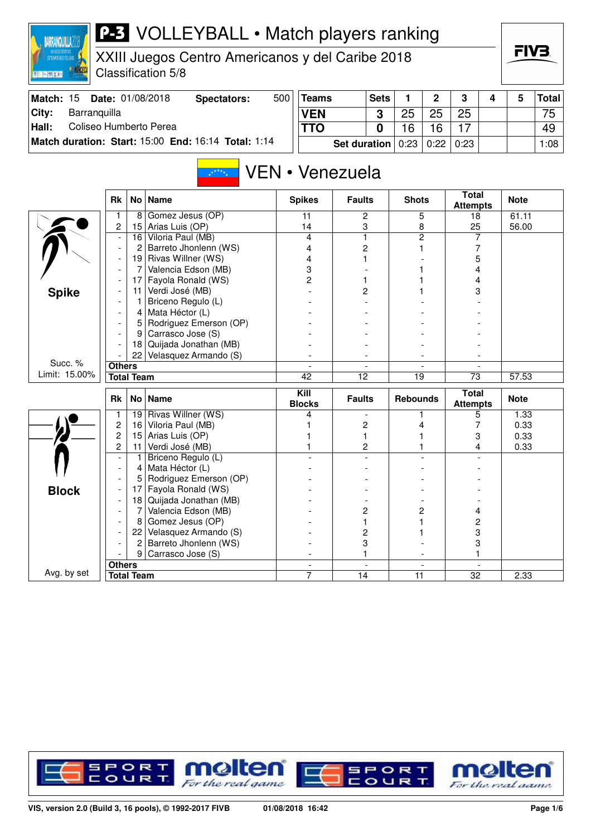| <b>MAN</b> NORCECA<br>画框画图文画    |                                  |                     | XXIII Juegos Centro Americanos y del Caribe 2018<br>Classification 5/8 |     |                       |                     |             |                 |                |                                 |   | ГIVЗ.        |              |
|---------------------------------|----------------------------------|---------------------|------------------------------------------------------------------------|-----|-----------------------|---------------------|-------------|-----------------|----------------|---------------------------------|---|--------------|--------------|
| Match: 15                       |                                  |                     | Date: 01/08/2018<br><b>Spectators:</b>                                 | 500 | <b>Teams</b>          |                     | <b>Sets</b> | 1               | $\overline{2}$ | 3                               | 4 | 5            | <b>Total</b> |
| City:<br>Barranquilla           |                                  |                     |                                                                        |     | <b>VEN</b>            |                     | 3           | 25              | 25             | 25                              |   |              | 75           |
| Coliseo Humberto Perea<br>Hall: |                                  |                     |                                                                        |     | <b>TTO</b>            |                     | 0           | 16              | 16             | 17                              |   |              | 49           |
|                                 |                                  |                     | Match duration: Start: 15:00 End: 16:14 Total: 1:14                    |     |                       | <b>Set duration</b> |             | 0:23            | 0:22           | 0:23                            |   |              | 1:08         |
|                                 |                                  |                     | $x^{\star^{\star\star\star}x}$                                         |     | VEN • Venezuela       |                     |             |                 |                | <b>Total</b>                    |   |              |              |
|                                 | Rk                               |                     | No   Name                                                              |     | <b>Spikes</b>         | <b>Faults</b>       |             | <b>Shots</b>    |                | <b>Attempts</b>                 |   | <b>Note</b>  |              |
|                                 | 1                                | 8                   | Gomez Jesus (OP)                                                       |     | 11                    | 2                   |             |                 | 5              | 18                              |   | 61.11        |              |
|                                 | $\overline{2}$                   |                     | 15 Arias Luis (OP)                                                     |     | 14                    |                     | 3           |                 | 8              | 25                              |   | 56.00        |              |
|                                 | $\overline{\phantom{a}}$         | 2                   | 16 Viloria Paul (MB)<br>Barreto Jhonlenn (WS)                          |     | 4<br>4                | 1<br>2              |             |                 | 2              | 7<br>7                          |   |              |              |
|                                 |                                  | 19                  | Rivas Willner (WS)                                                     |     | 4                     |                     |             |                 |                | 5                               |   |              |              |
|                                 |                                  | 7                   | Valencia Edson (MB)                                                    |     | 3                     |                     |             |                 |                | 4                               |   |              |              |
|                                 |                                  | 17                  | Fayola Ronald (WS)                                                     |     | 2                     | 1                   |             |                 |                | 4                               |   |              |              |
| <b>Spike</b>                    |                                  | 11                  | Verdi José (MB)                                                        |     |                       | 2                   |             |                 |                | 3                               |   |              |              |
|                                 |                                  | 1                   | Briceno Regulo (L)                                                     |     |                       |                     |             |                 |                |                                 |   |              |              |
|                                 |                                  | 4                   | Mata Héctor (L)                                                        |     |                       |                     |             |                 |                |                                 |   |              |              |
|                                 |                                  | 5                   | Rodriguez Emerson (OP)                                                 |     |                       |                     |             |                 |                |                                 |   |              |              |
|                                 |                                  | 9                   | Carrasco Jose (S)                                                      |     |                       |                     |             |                 |                |                                 |   |              |              |
|                                 |                                  | 18                  | Quijada Jonathan (MB)                                                  |     |                       |                     |             |                 |                |                                 |   |              |              |
| Succ. %                         | <b>Others</b>                    | 22                  | Velasquez Armando (S)                                                  |     |                       |                     |             |                 |                |                                 |   |              |              |
| Limit: 15.00%                   |                                  | <b>Total Team</b>   |                                                                        |     | 42                    | $\overline{12}$     |             | 19              |                | 73                              |   | 57.53        |              |
|                                 |                                  |                     |                                                                        |     |                       |                     |             |                 |                |                                 |   |              |              |
|                                 | Rk                               |                     | No   Name                                                              |     | Kill<br><b>Blocks</b> | <b>Faults</b>       |             | <b>Rebounds</b> |                | <b>Total</b><br><b>Attempts</b> |   | <b>Note</b>  |              |
|                                 | $\mathbf{1}$                     | 19                  | Rivas Willner (WS)                                                     |     | 4                     |                     |             |                 |                | 5                               |   | 1.33         |              |
|                                 | $\overline{c}$                   | 16                  | Viloria Paul (MB)                                                      |     |                       |                     | 2           |                 | 4              | 7                               |   | 0.33         |              |
|                                 | $\overline{c}$<br>$\overline{c}$ | 15<br>11            | Arias Luis (OP)<br>Verdi José (MB)                                     |     |                       | 1                   | 2           |                 |                | 3<br>4                          |   | 0.33<br>0.33 |              |
|                                 |                                  |                     | Briceno Regulo (L)                                                     |     |                       |                     |             |                 |                |                                 |   |              |              |
|                                 |                                  | 4                   | Mata Héctor (L)                                                        |     |                       |                     |             |                 |                |                                 |   |              |              |
|                                 |                                  | 5                   | Rodriguez Emerson (OP)                                                 |     |                       |                     |             |                 |                |                                 |   |              |              |
| <b>Block</b>                    |                                  | 17                  | Fayola Ronald (WS)                                                     |     |                       |                     |             |                 |                |                                 |   |              |              |
|                                 |                                  | 18                  | Quijada Jonathan (MB)                                                  |     |                       |                     |             |                 |                |                                 |   |              |              |
|                                 |                                  | 7                   | Valencia Edson (MB)                                                    |     |                       | 2                   |             |                 | $\overline{c}$ | 4                               |   |              |              |
|                                 |                                  | 8                   | Gomez Jesus (OP)                                                       |     |                       | 1                   |             |                 |                | 2                               |   |              |              |
|                                 |                                  | 22                  | Velasquez Armando (S)                                                  |     |                       | 2                   |             |                 |                | 3                               |   |              |              |
|                                 |                                  | 2<br>9 <sup>1</sup> | Barreto Jhonlenn (WS)                                                  |     |                       | 3                   |             |                 |                | 3                               |   |              |              |
|                                 | <b>Others</b>                    |                     | Carrasco Jose (S)                                                      |     |                       | 1                   |             |                 |                | 1                               |   |              |              |
| Avg. by set                     |                                  | <b>Total Team</b>   |                                                                        |     | 7                     | 14                  |             | 11              |                | 32                              |   | 2.33         |              |
|                                 |                                  |                     |                                                                        |     |                       |                     |             |                 |                |                                 |   |              |              |

**BARRANQUILLA2018** 



FIV<sub>3</sub>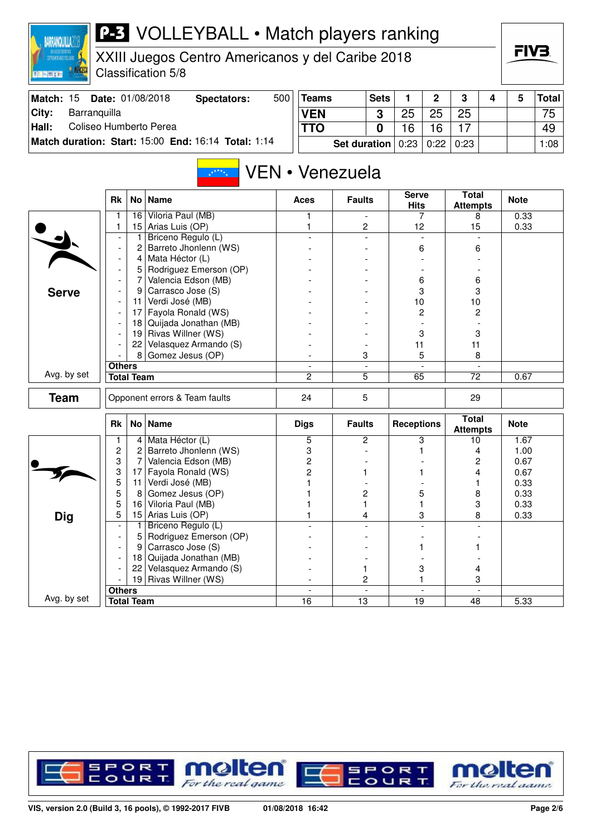| XXII ZAKOOS DOPORTINOS<br>CONTROAMERICANOS Y DEL CARIBE<br>画框画图文画 |               |                                  | XXIII Juegos Centro Americanos y del Caribe 2018<br>Classification 5/8 |     |                          |                          |             |                   |                |                                 |                          |              | FIV3.        |
|-------------------------------------------------------------------|---------------|----------------------------------|------------------------------------------------------------------------|-----|--------------------------|--------------------------|-------------|-------------------|----------------|---------------------------------|--------------------------|--------------|--------------|
| Match: 15                                                         |               |                                  | Date: 01/08/2018<br><b>Spectators:</b>                                 | 500 | <b>Teams</b>             |                          | <b>Sets</b> | 1                 | $\overline{2}$ | 3                               | 4                        | 5            | <b>Total</b> |
| City:<br>Barranquilla                                             |               |                                  |                                                                        |     | <b>VEN</b>               |                          | 3           | 25                | 25             | 25                              |                          |              | 75           |
| Hall:                                                             |               |                                  | Coliseo Humberto Perea                                                 |     | <b>TTO</b>               |                          | 0           | 16                | 16             | 17                              |                          |              | 49           |
|                                                                   |               |                                  | Match duration: Start: 15:00 End: 16:14 Total: 1:14                    |     |                          |                          |             |                   |                |                                 |                          |              |              |
|                                                                   |               |                                  |                                                                        |     |                          | <b>Set duration</b>      |             | 0:23              | 0:22           | 0:23                            |                          |              | 1:08         |
|                                                                   |               |                                  | $x^{x^{x+x}+x}$                                                        |     |                          | VEN • Venezuela          |             | <b>Serve</b>      |                | <b>Total</b>                    |                          |              |              |
|                                                                   | <b>Rk</b>     |                                  | No   Name                                                              |     | Aces                     | <b>Faults</b>            |             | <b>Hits</b>       |                | <b>Attempts</b>                 |                          | <b>Note</b>  |              |
|                                                                   |               | 16                               | Viloria Paul (MB)                                                      |     | 1                        |                          |             |                   | 7              | 8                               |                          | 0.33         |              |
|                                                                   | 1             | 15 <sub>1</sub>                  | Arias Luis (OP)                                                        |     | 1                        | 2                        |             | 12                |                | 15                              |                          | 0.33         |              |
|                                                                   |               | 1.                               | Briceno Regulo (L)                                                     |     |                          |                          |             |                   |                |                                 |                          |              |              |
|                                                                   |               | 2                                | Barreto Jhonlenn (WS)                                                  |     |                          |                          |             |                   | 6              | 6                               |                          |              |              |
|                                                                   |               | 4                                | Mata Héctor (L)                                                        |     |                          |                          |             |                   |                |                                 |                          |              |              |
|                                                                   |               | 5 <sup>1</sup><br>$\overline{7}$ | Rodriguez Emerson (OP)<br>Valencia Edson (MB)                          |     |                          |                          |             |                   |                |                                 |                          |              |              |
|                                                                   |               | 9                                | Carrasco Jose (S)                                                      |     |                          |                          |             |                   | 6<br>3         | 6<br>3                          |                          |              |              |
| <b>Serve</b>                                                      |               | <u> 11  </u>                     | Verdi José (MB)                                                        |     |                          |                          |             | 10                |                | 10                              |                          |              |              |
|                                                                   |               | 17 <sup>1</sup>                  | Fayola Ronald (WS)                                                     |     |                          |                          |             |                   | 2              | 2                               |                          |              |              |
|                                                                   |               | 18                               | Quijada Jonathan (MB)                                                  |     |                          |                          |             |                   |                |                                 |                          |              |              |
|                                                                   |               | 19 <sub>1</sub>                  | Rivas Willner (WS)                                                     |     |                          |                          |             |                   | 3              | 3                               |                          |              |              |
|                                                                   |               | 22                               | Velasquez Armando (S)                                                  |     |                          |                          |             | 11                |                | 11                              |                          |              |              |
|                                                                   |               | 8                                | Gomez Jesus (OP)                                                       |     |                          | 3                        |             |                   | 5              | 8                               |                          |              |              |
|                                                                   | <b>Others</b> |                                  |                                                                        |     | $\overline{\phantom{a}}$ | $\overline{\phantom{a}}$ |             |                   |                |                                 | $\overline{\phantom{a}}$ |              |              |
| Avg. by set                                                       |               | <b>Total Team</b>                |                                                                        |     | 2                        | 5                        |             | 65                |                | 72                              |                          | 0.67         |              |
| <b>Team</b>                                                       |               |                                  | Opponent errors & Team faults                                          |     | 24                       | 5                        |             |                   |                | 29                              |                          |              |              |
|                                                                   | Rk            |                                  | No   Name                                                              |     | <b>Digs</b>              | <b>Faults</b>            |             | <b>Receptions</b> |                | <b>Total</b><br><b>Attempts</b> |                          | <b>Note</b>  |              |
|                                                                   | 1             |                                  | 4 Mata Héctor (L)                                                      |     | 5                        | $\mathbf{2}$             |             |                   | 3              | 10                              |                          | 1.67         |              |
|                                                                   | 2             | $\mathbf{2}^{\prime}$            | Barreto Jhonlenn (WS)                                                  |     | 3                        |                          |             |                   |                | 4                               |                          | 1.00         |              |
|                                                                   | 3<br>3        | 7                                | Valencia Edson (MB)                                                    |     | 2                        |                          |             |                   |                | 2<br>4                          |                          | 0.67         |              |
|                                                                   | 5             | 17<br>11                         | Fayola Ronald (WS)<br>Verdi José (MB)                                  |     | 2<br>1                   |                          |             |                   |                | 1                               |                          | 0.67<br>0.33 |              |
|                                                                   | 5             | 8                                | Gomez Jesus (OP)                                                       |     |                          | 2                        |             |                   | 5              | 8                               |                          | 0.33         |              |
|                                                                   | 5             | 16                               | Viloria Paul (MB)                                                      |     |                          | 1                        |             |                   | 1              | 3                               |                          | 0.33         |              |
| <b>Dig</b>                                                        | 5             | 15 <sub>1</sub>                  | Arias Luis (OP)                                                        |     |                          | 4                        |             |                   | 3              |                                 | 8                        | 0.33         |              |
|                                                                   |               |                                  | Briceno Regulo (L)                                                     |     |                          |                          |             |                   |                |                                 |                          |              |              |
|                                                                   |               | 5                                | Rodriguez Emerson (OP)                                                 |     |                          |                          |             |                   |                |                                 |                          |              |              |
|                                                                   |               | 9                                | Carrasco Jose (S)                                                      |     |                          |                          |             |                   | 1              |                                 |                          |              |              |
|                                                                   |               | 18                               | Quijada Jonathan (MB)                                                  |     |                          |                          |             |                   |                |                                 |                          |              |              |
|                                                                   |               | 22                               | Velasquez Armando (S)                                                  |     |                          | 1                        |             |                   | 3              | 4                               |                          |              |              |
|                                                                   |               | 19                               | Rivas Willner (WS)                                                     |     |                          | 2                        |             |                   |                | 3                               |                          |              |              |
|                                                                   | <b>Others</b> |                                  |                                                                        |     |                          |                          |             |                   |                |                                 |                          |              |              |
| Avg. by set                                                       |               | <b>Total Team</b>                |                                                                        |     | $\overline{16}$          | $\overline{13}$          |             | $\overline{19}$   |                | $\overline{48}$                 |                          | 5.33         |              |

BARRANQUILLA2018



FIV<sub>3</sub>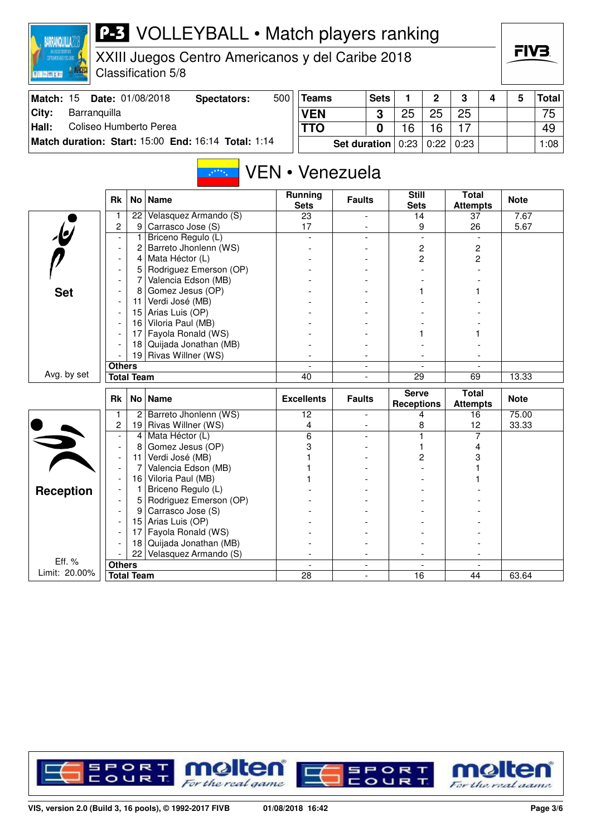XXIII Juegos Centro Americanos y del Caribe 2018 Classification 5/8

**BARRANQUILLA2018** 

**EN MIX IN** 

**IR NORCECI** 

|       | <b>Match: 15 Date: 01/08/2018</b>                   | Spectators: | 500 | <b>Teams</b>                                   | <b>Sets</b> |    | $\mathbf{p}$ | າ  |  | Total |
|-------|-----------------------------------------------------|-------------|-----|------------------------------------------------|-------------|----|--------------|----|--|-------|
| City: | Barranguilla                                        |             |     | <b>VEN</b>                                     | າ           | つに | 25           | 25 |  | 75    |
| Hall: | Coliseo Humberto Perea                              |             |     | <b>TTO</b>                                     |             | 16 |              |    |  | 49    |
|       | Match duration: Start: 15:00 End: 16:14 Total: 1:14 |             |     | <b>Set duration</b> $0:23 \mid 0:22 \mid 0:23$ |             |    |              |    |  | 1:08  |

#### VEN • Venezuela  $x^{k+k}$

|                          | <b>Rk</b>                                                                                                 | No l              | <b>Name</b>            | <b>Running</b><br><b>Sets</b> | <b>Faults</b>            | <b>Still</b><br><b>Sets</b>       | <b>Total</b><br><b>Attempts</b> | <b>Note</b> |
|--------------------------|-----------------------------------------------------------------------------------------------------------|-------------------|------------------------|-------------------------------|--------------------------|-----------------------------------|---------------------------------|-------------|
|                          |                                                                                                           | 22                | Velasquez Armando (S)  | 23                            |                          | 14                                | 37                              | 7.67        |
| $\overline{\mathcal{L}}$ | $\overline{c}$                                                                                            | 9                 | Carrasco Jose (S)      | 17                            |                          | 9                                 | 26                              | 5.67        |
|                          | $\blacksquare$                                                                                            | 1                 | Briceno Regulo (L)     |                               |                          |                                   |                                 |             |
|                          | $\overline{\phantom{a}}$                                                                                  | 2                 | Barreto Jhonlenn (WS)  |                               |                          | $\overline{c}$                    | 2                               |             |
|                          | $\blacksquare$                                                                                            | 4                 | Mata Héctor (L)        |                               |                          | $\overline{c}$                    | 2                               |             |
|                          |                                                                                                           | 5                 | Rodriguez Emerson (OP) |                               |                          |                                   |                                 |             |
|                          |                                                                                                           | 7                 | Valencia Edson (MB)    |                               |                          |                                   |                                 |             |
| <b>Set</b>               |                                                                                                           | 8                 | Gomez Jesus (OP)       |                               |                          |                                   |                                 |             |
|                          |                                                                                                           | 11                | Verdi José (MB)        |                               |                          |                                   |                                 |             |
|                          |                                                                                                           | 15                | Arias Luis (OP)        |                               |                          |                                   |                                 |             |
|                          |                                                                                                           | 16                | Viloria Paul (MB)      |                               |                          |                                   |                                 |             |
|                          |                                                                                                           | 17                |                        |                               |                          |                                   |                                 |             |
|                          |                                                                                                           |                   | Quijada Jonathan (MB)  |                               |                          |                                   |                                 |             |
|                          |                                                                                                           |                   |                        |                               | $\overline{\phantom{0}}$ |                                   |                                 |             |
|                          |                                                                                                           |                   |                        |                               | $\overline{a}$           |                                   |                                 |             |
|                          | Fayola Ronald (WS)<br>18<br>Rivas Willner (WS)<br>19<br><b>Others</b><br>Avg. by set<br><b>Total Team</b> |                   | 40                     | $\overline{a}$                | 29                       | 69                                | 13.33                           |             |
|                          |                                                                                                           |                   |                        |                               |                          |                                   |                                 |             |
|                          | <b>Rk</b>                                                                                                 |                   | No   Name              | <b>Excellents</b>             | <b>Faults</b>            | <b>Serve</b><br><b>Receptions</b> | <b>Total</b><br><b>Attempts</b> | <b>Note</b> |
|                          | 1                                                                                                         | 2 <sup>1</sup>    | Barreto Jhonlenn (WS)  | 12                            | $\overline{a}$           | 4                                 | 16                              | 75.00       |
|                          | 2                                                                                                         | 19                | Rivas Willner (WS)     | 4                             |                          | 8                                 | 12                              | 33.33       |
|                          |                                                                                                           | $\overline{4}$    | Mata Héctor (L)        | 6                             |                          |                                   | 7                               |             |
|                          | $\overline{\phantom{a}}$                                                                                  | 8                 | Gomez Jesus (OP)       | 3                             |                          |                                   | 4                               |             |
|                          | $\overline{\phantom{a}}$                                                                                  | 11                | Verdi José (MB)        |                               |                          | 2                                 | 3                               |             |
|                          | $\overline{a}$                                                                                            | 7                 | Valencia Edson (MB)    |                               |                          |                                   |                                 |             |
|                          |                                                                                                           | 16                | Viloria Paul (MB)      |                               |                          |                                   |                                 |             |
|                          |                                                                                                           | 1                 | Briceno Regulo (L)     |                               |                          |                                   |                                 |             |
| <b>Reception</b>         |                                                                                                           | 5                 | Rodriguez Emerson (OP) |                               |                          |                                   |                                 |             |
|                          |                                                                                                           | 9                 | Carrasco Jose (S)      |                               |                          |                                   |                                 |             |
|                          |                                                                                                           | 15                | Arias Luis (OP)        |                               |                          |                                   |                                 |             |
|                          |                                                                                                           | 17                | Fayola Ronald (WS)     |                               |                          |                                   |                                 |             |
|                          |                                                                                                           | 18                | Quijada Jonathan (MB)  |                               |                          |                                   |                                 |             |
|                          |                                                                                                           | 22                | Velasquez Armando (S)  |                               |                          |                                   |                                 |             |
| Eff. %<br>Limit: 20.00%  | <b>Others</b>                                                                                             | <b>Total Team</b> |                        | 28                            | ÷                        | 16                                | 44                              | 63.64       |

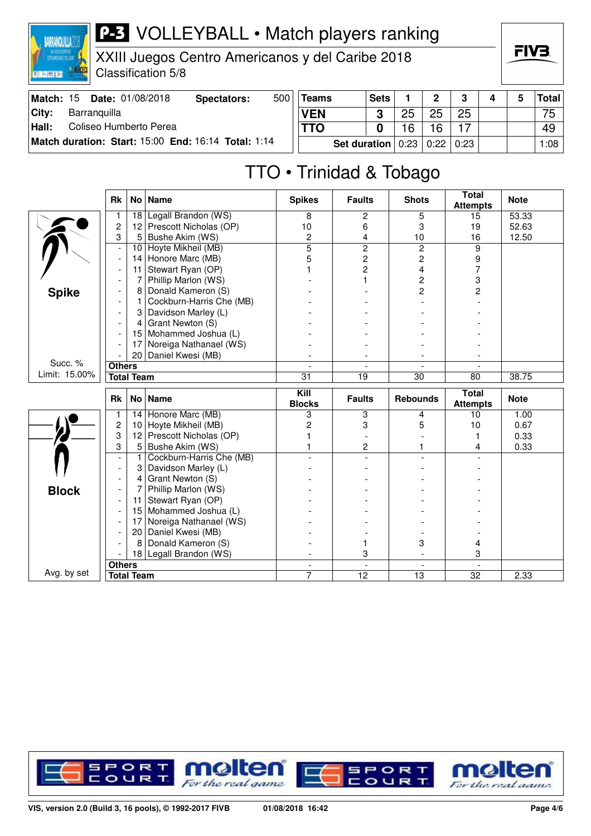

XXIII Juegos Centro Americanos y del Caribe 2018 Classification 5/8

| Match: 15 | Date: 01/08/2018                                    | Spectators: | 500 | <b>Teams</b> | <b>Sets</b>                                    |    |    |  | Total |
|-----------|-----------------------------------------------------|-------------|-----|--------------|------------------------------------------------|----|----|--|-------|
| City:     | Barranquilla                                        |             |     | <b>VEN</b>   |                                                | 25 | 25 |  | 75    |
| Hall:     | Coliseo Humberto Perea                              |             |     |              |                                                | 16 |    |  | 49    |
|           | Match duration: Start: 15:00 End: 16:14 Total: 1:14 |             |     |              | <b>Set duration</b> $0:23 \mid 0:22 \mid 0:23$ |    |    |  | 1:08  |

# TTO • Trinidad & Tobago

|               | <b>Rk</b>                | No              | <b>Name</b>              | <b>Spikes</b>            | <b>Faults</b>            | <b>Shots</b>    | <b>Total</b><br><b>Attempts</b> | <b>Note</b> |
|---------------|--------------------------|-----------------|--------------------------|--------------------------|--------------------------|-----------------|---------------------------------|-------------|
|               |                          | 18              | Legall Brandon (WS)      | 8                        | 2                        | 5               | 15                              | 53.33       |
|               | $\overline{c}$           | 12 <sup>2</sup> | Prescott Nicholas (OP)   | 10                       | 6                        | 3               | 19                              | 52.63       |
|               | 3                        | 5               | Bushe Akim (WS)          | $\overline{c}$           | 4                        | 10              | 16                              | 12.50       |
|               | $\overline{\phantom{a}}$ | 10              | Hoyte Mikheil (MB)       | $\overline{5}$           | $\overline{2}$           | $\overline{2}$  | 9                               |             |
|               |                          | 14              | Honore Marc (MB)         | 5                        | $\overline{c}$           | $\overline{c}$  | 9                               |             |
|               |                          | 11              | Stewart Ryan (OP)        |                          | $\overline{c}$           | $\overline{4}$  | $\overline{7}$                  |             |
|               |                          | 7               | Phillip Marlon (WS)      |                          | 1                        | $\overline{c}$  | 3                               |             |
| <b>Spike</b>  |                          | 8               | Donald Kameron (S)       |                          |                          | $\overline{c}$  | 2                               |             |
|               |                          |                 | Cockburn-Harris Che (MB) |                          |                          |                 |                                 |             |
|               |                          | 3               | Davidson Marley (L)      |                          |                          |                 |                                 |             |
|               |                          | 4               | Grant Newton (S)         |                          |                          |                 |                                 |             |
|               |                          | 15              | Mohammed Joshua (L)      |                          |                          |                 |                                 |             |
|               |                          | 17              | Noreiga Nathanael (WS)   |                          |                          |                 |                                 |             |
|               |                          | 20              | Daniel Kwesi (MB)        |                          |                          |                 |                                 |             |
| Succ. %       | <b>Others</b>            |                 |                          |                          | $\overline{\phantom{a}}$ |                 |                                 |             |
| Limit: 15.00% | <b>Total Team</b>        |                 |                          | 31                       | $\overline{19}$          | $\overline{30}$ | 80                              | 38.75       |
|               |                          |                 |                          |                          |                          |                 |                                 |             |
|               | Rk                       | No <sub>1</sub> | <b>Name</b>              | Kill<br><b>Blocks</b>    | <b>Faults</b>            | <b>Rebounds</b> | <b>Total</b><br><b>Attempts</b> | <b>Note</b> |
|               | 1                        | 14              | Honore Marc (MB)         | 3                        | 3                        | 4               | 10 <sup>10</sup>                | 1.00        |
|               | $\overline{c}$           | 10              | Hoyte Mikheil (MB)       | 2                        | 3                        | 5               | 10                              | 0.67        |
|               | 3                        | 12              | Prescott Nicholas (OP)   |                          |                          |                 |                                 | 0.33        |
|               | 3                        | 5               | Bushe Akim (WS)          |                          | 2                        |                 | 4                               | 0.33        |
|               | $\overline{a}$           | 1               | Cockburn-Harris Che (MB) |                          |                          |                 |                                 |             |
|               | $\overline{a}$           | 3               | Davidson Marley (L)      |                          |                          |                 |                                 |             |
|               |                          | 4               | Grant Newton (S)         |                          |                          |                 |                                 |             |
|               |                          | 7               | Phillip Marlon (WS)      |                          |                          |                 |                                 |             |
| <b>Block</b>  |                          | 11              | Stewart Ryan (OP)        |                          |                          |                 |                                 |             |
|               |                          | 15              | Mohammed Joshua (L)      |                          |                          |                 |                                 |             |
|               |                          | 17              | Noreiga Nathanael (WS)   |                          |                          |                 |                                 |             |
|               |                          | 20              | Daniel Kwesi (MB)        |                          |                          |                 |                                 |             |
|               |                          | 8               | Donald Kameron (S)       |                          | 1                        | 3               | 4                               |             |
|               |                          |                 | 18 Legall Brandon (WS)   |                          | 3                        | $\blacksquare$  | 3                               |             |
| Avg. by set   | <b>Others</b>            |                 |                          | $\overline{\phantom{a}}$ | $\overline{\phantom{a}}$ | $\blacksquare$  |                                 |             |

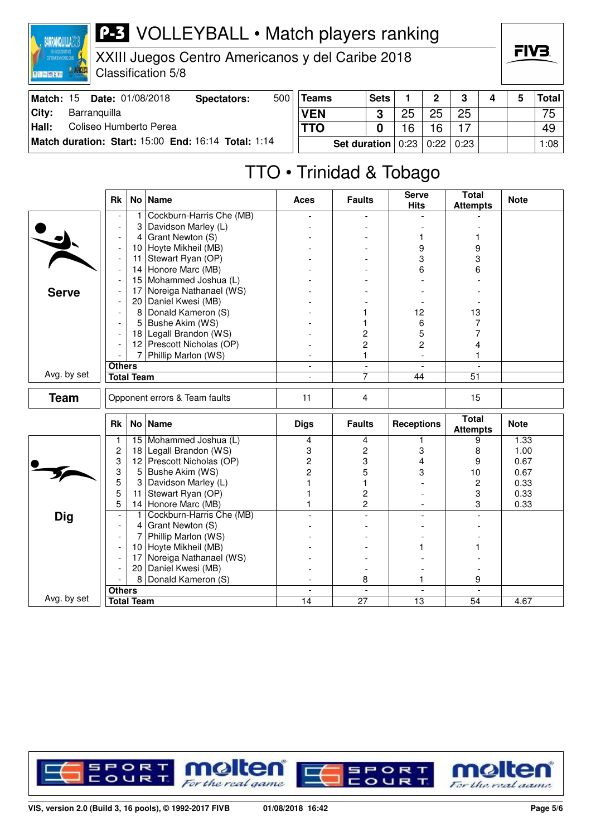

XXIII Juegos Centro Americanos y del Caribe 2018 Classification 5/8

FIV<sub>3</sub>

| Match: $15$ | Date: 01/08/2018                                    | Spectators: | 500 | <b>Teams</b> | <b>Sets</b>           |    | ີ    | ≏    |  | Total |
|-------------|-----------------------------------------------------|-------------|-----|--------------|-----------------------|----|------|------|--|-------|
| City:       | Barranguilla                                        |             |     | <b>VEN</b>   | ≏                     | 25 | 25   | 25   |  | 75    |
| Hall:       | Coliseo Humberto Perea                              |             |     | TTO          |                       | 16 | 6    |      |  | 49    |
|             | Match duration: Start: 15:00 End: 16:14 Total: 1:14 |             |     |              | Set duration $ 0:23 $ |    | 0:22 | 0:23 |  | 1:08  |

# TTO • Trinidad & Tobago

|              | <b>Rk</b>                |                   | No   Name                     | Aces                     | <b>Faults</b>            | <b>Serve</b><br><b>Hits</b> | Total<br><b>Attempts</b>        | <b>Note</b> |
|--------------|--------------------------|-------------------|-------------------------------|--------------------------|--------------------------|-----------------------------|---------------------------------|-------------|
|              |                          | 1                 | Cockburn-Harris Che (MB)      |                          |                          |                             |                                 |             |
|              |                          | 3                 | Davidson Marley (L)           |                          |                          |                             |                                 |             |
|              |                          | 4                 | Grant Newton (S)              |                          |                          | 1                           |                                 |             |
|              | $\overline{a}$           | 10                | Hoyte Mikheil (MB)            |                          |                          | 9                           | 9                               |             |
|              | $\overline{\phantom{a}}$ | 11                | Stewart Ryan (OP)             |                          |                          | 3                           | 3                               |             |
|              |                          | 14                | Honore Marc (MB)              |                          |                          | 6                           | 6                               |             |
|              |                          | 15                | Mohammed Joshua (L)           |                          |                          |                             |                                 |             |
| <b>Serve</b> |                          | 17                | Noreiga Nathanael (WS)        |                          |                          |                             |                                 |             |
|              |                          | 20                | Daniel Kwesi (MB)             |                          |                          |                             |                                 |             |
|              | $\overline{\phantom{a}}$ | 8                 | Donald Kameron (S)            |                          |                          | 12                          | 13                              |             |
|              |                          | 5                 | Bushe Akim (WS)               |                          |                          | 6                           | 7                               |             |
|              |                          |                   | 18 Legall Brandon (WS)        |                          | 2                        | 5                           | 7                               |             |
|              |                          |                   | 12 Prescott Nicholas (OP)     |                          | 2                        | $\overline{c}$              | 4                               |             |
|              |                          | $\overline{7}$    | Phillip Marlon (WS)           |                          | 1                        |                             | 1                               |             |
|              | <b>Others</b>            |                   |                               | $\overline{\phantom{a}}$ | $\equiv$                 | $\overline{a}$              | $\mathbf{r}$                    |             |
| Avg. by set  |                          | <b>Total Team</b> |                               | $\overline{a}$           | 7                        | 44                          | $\overline{51}$                 |             |
| <b>Team</b>  |                          |                   | Opponent errors & Team faults | 11                       | $\overline{4}$           |                             | 15                              |             |
|              | <b>Rk</b>                |                   | No   Name                     | <b>Digs</b>              | <b>Faults</b>            | <b>Receptions</b>           | <b>Total</b><br><b>Attempts</b> | <b>Note</b> |
|              | 1                        |                   | 15 Mohammed Joshua (L)        | 4                        | 4                        | 1                           | 9                               | 1.33        |
|              | $\overline{c}$           | 18                | Legall Brandon (WS)           | 3                        | 2                        | 3                           | 8                               | 1.00        |
|              | 3                        | 12                | Prescott Nicholas (OP)        | $\overline{c}$           | 3                        | 4                           | 9                               | 0.67        |
|              | 3                        | 5                 | Bushe Akim (WS)               | $\overline{c}$           | 5                        | 3                           | 10                              | 0.67        |
|              | 5                        | 3                 | Davidson Marley (L)           |                          | 1                        |                             | $\overline{c}$                  | 0.33        |
|              | 5                        | 11                | Stewart Ryan (OP)             |                          | $\overline{c}$           |                             | 3                               | 0.33        |
|              | 5                        | 14                | Honore Marc (MB)              |                          | $\overline{c}$           |                             | 3                               | 0.33        |
| <b>Dig</b>   | $\overline{\phantom{a}}$ | 1                 | Cockburn-Harris Che (MB)      |                          |                          |                             |                                 |             |
|              | $\overline{\phantom{a}}$ | 4                 | Grant Newton (S)              |                          |                          |                             |                                 |             |
|              | $\overline{a}$           | 7                 | Phillip Marlon (WS)           |                          |                          |                             |                                 |             |
|              |                          |                   | 10 Hoyte Mikheil (MB)         |                          |                          |                             |                                 |             |
|              | $\blacksquare$           | 17                | Noreiga Nathanael (WS)        |                          |                          |                             |                                 |             |
|              |                          | 20                | Daniel Kwesi (MB)             |                          |                          |                             |                                 |             |
|              |                          | 8                 | Donald Kameron (S)            |                          | 8                        | 1.                          | 9                               |             |
|              | <b>Others</b>            |                   |                               | $\blacksquare$           | $\overline{\phantom{a}}$ | $\blacksquare$              |                                 |             |
| Avg. by set  |                          | <b>Total Team</b> |                               | 14                       | 27                       | 13                          | 54                              | 4.67        |